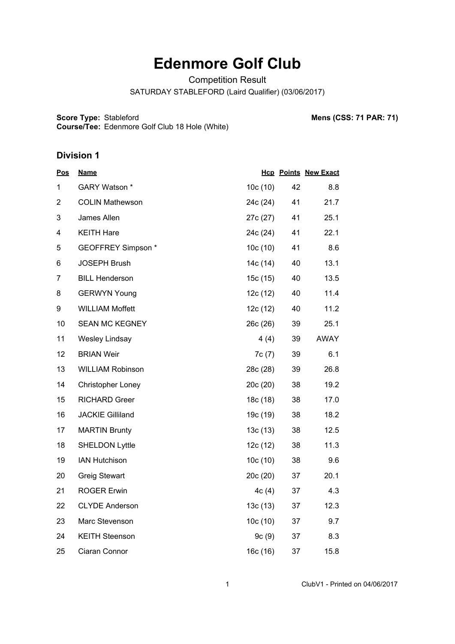# **Edenmore Golf Club**

Competition Result

SATURDAY STABLEFORD (Laird Qualifier) (03/06/2017)

**Score Type:**

**Course/Tee:** Edenmore Golf Club 18 Hole (White)

**Mens (CSS: 71 PAR: 71)** 

| <b>Pos</b>     | <b>Name</b>              |          |    | <b>Hcp Points New Exact</b> |
|----------------|--------------------------|----------|----|-----------------------------|
| 1              | GARY Watson *            | 10c(10)  | 42 | 8.8                         |
| $\overline{2}$ | <b>COLIN Mathewson</b>   | 24c (24) | 41 | 21.7                        |
| 3              | James Allen              | 27c (27) | 41 | 25.1                        |
| 4              | <b>KEITH Hare</b>        | 24c (24) | 41 | 22.1                        |
| 5              | GEOFFREY Simpson *       | 10c(10)  | 41 | 8.6                         |
| 6              | <b>JOSEPH Brush</b>      | 14c (14) | 40 | 13.1                        |
| $\overline{7}$ | <b>BILL Henderson</b>    | 15c(15)  | 40 | 13.5                        |
| 8              | <b>GERWYN Young</b>      | 12c(12)  | 40 | 11.4                        |
| 9              | <b>WILLIAM Moffett</b>   | 12c(12)  | 40 | 11.2                        |
| 10             | <b>SEAN MC KEGNEY</b>    | 26c(26)  | 39 | 25.1                        |
| 11             | <b>Wesley Lindsay</b>    | 4(4)     | 39 | <b>AWAY</b>                 |
| 12             | <b>BRIAN Weir</b>        | 7c(7)    | 39 | 6.1                         |
| 13             | <b>WILLIAM Robinson</b>  | 28c (28) | 39 | 26.8                        |
| 14             | <b>Christopher Loney</b> | 20c(20)  | 38 | 19.2                        |
| 15             | <b>RICHARD Greer</b>     | 18c (18) | 38 | 17.0                        |
| 16             | <b>JACKIE Gilliland</b>  | 19c (19) | 38 | 18.2                        |
| 17             | <b>MARTIN Brunty</b>     | 13c(13)  | 38 | 12.5                        |
| 18             | <b>SHELDON Lyttle</b>    | 12c(12)  | 38 | 11.3                        |
| 19             | <b>IAN Hutchison</b>     | 10c(10)  | 38 | 9.6                         |
| 20             | <b>Greig Stewart</b>     | 20c(20)  | 37 | 20.1                        |
| 21             | <b>ROGER Erwin</b>       | 4c(4)    | 37 | 4.3                         |
| 22             | <b>CLYDE Anderson</b>    | 13c(13)  | 37 | 12.3                        |
| 23             | Marc Stevenson           | 10c(10)  | 37 | 9.7                         |
| 24             | <b>KEITH Steenson</b>    | 9c(9)    | 37 | 8.3                         |
| 25             | Ciaran Connor            | 16c (16) | 37 | 15.8                        |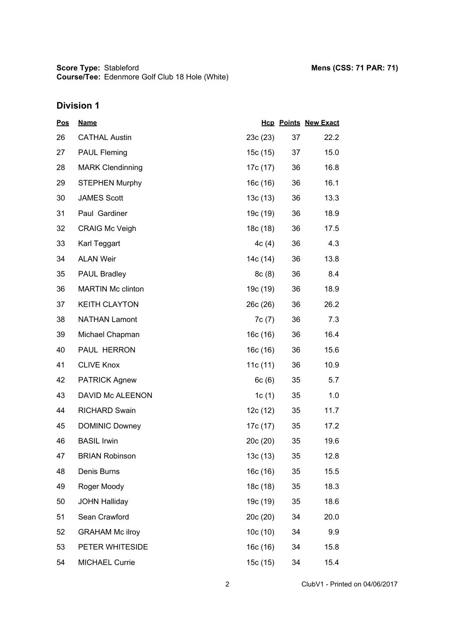| <u>Pos</u> | <b>Name</b>              |          |    | <b>Hcp Points New Exact</b> |
|------------|--------------------------|----------|----|-----------------------------|
| 26         | <b>CATHAL Austin</b>     | 23c(23)  | 37 | 22.2                        |
| 27         | <b>PAUL Fleming</b>      | 15c (15) | 37 | 15.0                        |
| 28         | <b>MARK Clendinning</b>  | 17c (17) | 36 | 16.8                        |
| 29         | <b>STEPHEN Murphy</b>    | 16c(16)  | 36 | 16.1                        |
| 30         | <b>JAMES Scott</b>       | 13c(13)  | 36 | 13.3                        |
| 31         | Paul Gardiner            | 19c (19) | 36 | 18.9                        |
| 32         | <b>CRAIG Mc Veigh</b>    | 18c (18) | 36 | 17.5                        |
| 33         | Karl Teggart             | 4c(4)    | 36 | 4.3                         |
| 34         | <b>ALAN Weir</b>         | 14c (14) | 36 | 13.8                        |
| 35         | <b>PAUL Bradley</b>      | 8c(8)    | 36 | 8.4                         |
| 36         | <b>MARTIN Mc clinton</b> | 19c (19) | 36 | 18.9                        |
| 37         | <b>KEITH CLAYTON</b>     | 26c (26) | 36 | 26.2                        |
| 38         | <b>NATHAN Lamont</b>     | 7c(7)    | 36 | 7.3                         |
| 39         | Michael Chapman          | 16c(16)  | 36 | 16.4                        |
| 40         | PAUL HERRON              | 16c (16) | 36 | 15.6                        |
| 41         | <b>CLIVE Knox</b>        | 11c(11)  | 36 | 10.9                        |
| 42         | <b>PATRICK Agnew</b>     | 6c(6)    | 35 | 5.7                         |
| 43         | DAVID Mc ALEENON         | 1c $(1)$ | 35 | 1.0                         |
| 44         | <b>RICHARD Swain</b>     | 12c(12)  | 35 | 11.7                        |
| 45         | <b>DOMINIC Downey</b>    | 17c (17) | 35 | 17.2                        |
| 46         | <b>BASIL Irwin</b>       | 20c(20)  | 35 | 19.6                        |
| 47         | <b>BRIAN Robinson</b>    | 13c(13)  | 35 | 12.8                        |
| 48         | Denis Burns              | 16c(16)  | 35 | 15.5                        |
| 49         | Roger Moody              | 18c(18)  | 35 | 18.3                        |
| 50         | <b>JOHN Halliday</b>     | 19c (19) | 35 | 18.6                        |
| 51         | Sean Crawford            | 20c (20) | 34 | 20.0                        |
| 52         | <b>GRAHAM Mc ilroy</b>   | 10c(10)  | 34 | 9.9                         |
| 53         | PETER WHITESIDE          | 16c(16)  | 34 | 15.8                        |
| 54         | <b>MICHAEL Currie</b>    | 15c (15) | 34 | 15.4                        |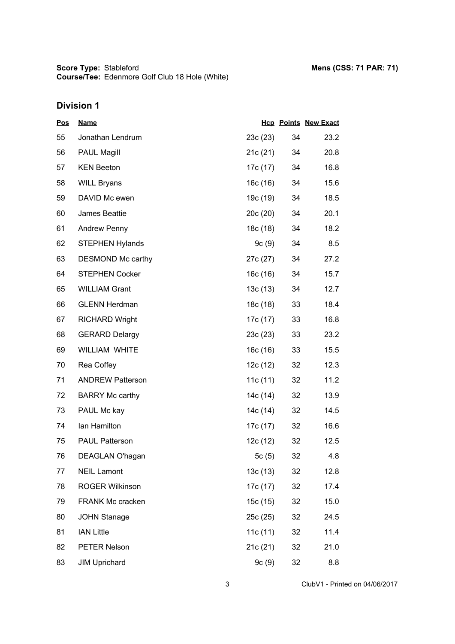| <u>Pos</u> | <b>Name</b>             |          |    | <b>Hcp Points New Exact</b> |
|------------|-------------------------|----------|----|-----------------------------|
| 55         | Jonathan Lendrum        | 23c(23)  | 34 | 23.2                        |
| 56         | <b>PAUL Magill</b>      | 21c (21) | 34 | 20.8                        |
| 57         | <b>KEN Beeton</b>       | 17c (17) | 34 | 16.8                        |
| 58         | <b>WILL Bryans</b>      | 16c(16)  | 34 | 15.6                        |
| 59         | DAVID Mc ewen           | 19c (19) | 34 | 18.5                        |
| 60         | James Beattie           | 20c(20)  | 34 | 20.1                        |
| 61         | <b>Andrew Penny</b>     | 18c (18) | 34 | 18.2                        |
| 62         | <b>STEPHEN Hylands</b>  | 9c(9)    | 34 | 8.5                         |
| 63         | DESMOND Mc carthy       | 27c (27) | 34 | 27.2                        |
| 64         | <b>STEPHEN Cocker</b>   | 16c(16)  | 34 | 15.7                        |
| 65         | <b>WILLIAM Grant</b>    | 13c (13) | 34 | 12.7                        |
| 66         | <b>GLENN Herdman</b>    | 18c (18) | 33 | 18.4                        |
| 67         | <b>RICHARD Wright</b>   | 17c (17) | 33 | 16.8                        |
| 68         | <b>GERARD Delargy</b>   | 23c(23)  | 33 | 23.2                        |
| 69         | <b>WILLIAM WHITE</b>    | 16c (16) | 33 | 15.5                        |
| 70         | Rea Coffey              | 12c(12)  | 32 | 12.3                        |
| 71         | <b>ANDREW Patterson</b> | 11c(11)  | 32 | 11.2                        |
| 72         | <b>BARRY Mc carthy</b>  | 14c (14) | 32 | 13.9                        |
| 73         | PAUL Mc kay             | 14c (14) | 32 | 14.5                        |
| 74         | Ian Hamilton            | 17c (17) | 32 | 16.6                        |
| 75         | PAUL Patterson          | 12c (12) | 32 | 12.5                        |
| 76         | DEAGLAN O'hagan         | 5 $c(5)$ | 32 | 4.8                         |
| 77         | <b>NEIL Lamont</b>      | 13c(13)  | 32 | 12.8                        |
| 78         | ROGER Wilkinson         | 17c (17) | 32 | 17.4                        |
| 79         | FRANK Mc cracken        | 15c (15) | 32 | 15.0                        |
| 80         | <b>JOHN Stanage</b>     | 25c (25) | 32 | 24.5                        |
| 81         | <b>IAN Little</b>       | 11c(11)  | 32 | 11.4                        |
| 82         | PETER Nelson            | 21c(21)  | 32 | 21.0                        |
| 83         | <b>JIM Uprichard</b>    | 9c(9)    | 32 | 8.8                         |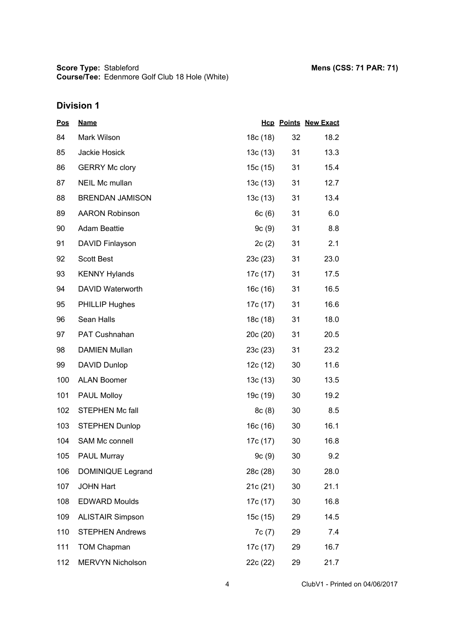| <u>Pos</u> | <b>Name</b>             |          |    | <b>Hcp Points New Exact</b> |
|------------|-------------------------|----------|----|-----------------------------|
| 84         | Mark Wilson             | 18c (18) | 32 | 18.2                        |
| 85         | Jackie Hosick           | 13c(13)  | 31 | 13.3                        |
| 86         | <b>GERRY Mc clory</b>   | 15c(15)  | 31 | 15.4                        |
| 87         | <b>NEIL Mc mullan</b>   | 13c(13)  | 31 | 12.7                        |
| 88         | <b>BRENDAN JAMISON</b>  | 13c(13)  | 31 | 13.4                        |
| 89         | <b>AARON Robinson</b>   | 6c(6)    | 31 | 6.0                         |
| 90         | <b>Adam Beattie</b>     | 9c(9)    | 31 | 8.8                         |
| 91         | DAVID Finlayson         | 2c(2)    | 31 | 2.1                         |
| 92         | <b>Scott Best</b>       | 23c(23)  | 31 | 23.0                        |
| 93         | <b>KENNY Hylands</b>    | 17c (17) | 31 | 17.5                        |
| 94         | <b>DAVID Waterworth</b> | 16c (16) | 31 | 16.5                        |
| 95         | <b>PHILLIP Hughes</b>   | 17c (17) | 31 | 16.6                        |
| 96         | Sean Halls              | 18c (18) | 31 | 18.0                        |
| 97         | PAT Cushnahan           | 20c(20)  | 31 | 20.5                        |
| 98         | <b>DAMIEN Mullan</b>    | 23c(23)  | 31 | 23.2                        |
| 99         | <b>DAVID Dunlop</b>     | 12c(12)  | 30 | 11.6                        |
| 100        | <b>ALAN Boomer</b>      | 13c(13)  | 30 | 13.5                        |
| 101        | PAUL Molloy             | 19c (19) | 30 | 19.2                        |
| 102        | <b>STEPHEN Mc fall</b>  | 8c(8)    | 30 | 8.5                         |
| 103        | <b>STEPHEN Dunlop</b>   | 16c(16)  | 30 | 16.1                        |
| 104        | SAM Mc connell          | 17c (17) | 30 | 16.8                        |
| 105        | <b>PAUL Murray</b>      | 9c(9)    | 30 | 9.2                         |
| 106        | DOMINIQUE Legrand       | 28c (28) | 30 | 28.0                        |
| 107        | <b>JOHN Hart</b>        | 21c(21)  | 30 | 21.1                        |
| 108        | <b>EDWARD Moulds</b>    | 17c (17) | 30 | 16.8                        |
| 109        | <b>ALISTAIR Simpson</b> | 15c (15) | 29 | 14.5                        |
| 110        | <b>STEPHEN Andrews</b>  | 7c(7)    | 29 | 7.4                         |
| 111        | <b>TOM Chapman</b>      | 17c (17) | 29 | 16.7                        |
| 112        | <b>MERVYN Nicholson</b> | 22c (22) | 29 | 21.7                        |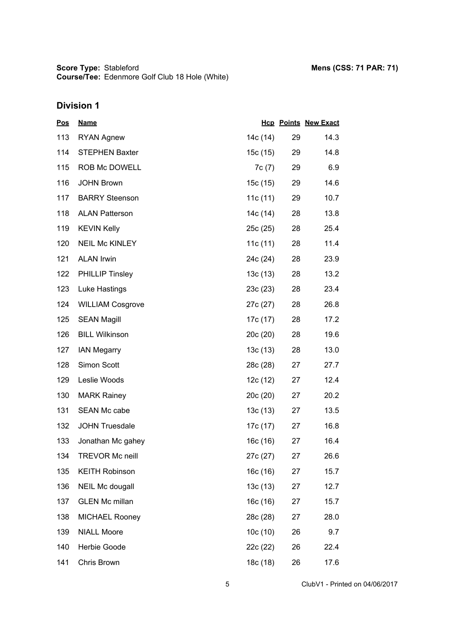| <u>Pos</u> | <b>Name</b>             |            |    | <b>Hcp Points New Exact</b> |
|------------|-------------------------|------------|----|-----------------------------|
| 113        | <b>RYAN Agnew</b>       | 14c (14)   | 29 | 14.3                        |
| 114        | <b>STEPHEN Baxter</b>   | 15c (15)   | 29 | 14.8                        |
| 115        | ROB Mc DOWELL           | 7c(7)      | 29 | 6.9                         |
| 116        | <b>JOHN Brown</b>       | 15c(15)    | 29 | 14.6                        |
| 117        | <b>BARRY Steenson</b>   | 11c $(11)$ | 29 | 10.7                        |
| 118        | <b>ALAN Patterson</b>   | 14c (14)   | 28 | 13.8                        |
| 119        | <b>KEVIN Kelly</b>      | 25c (25)   | 28 | 25.4                        |
| 120        | <b>NEIL Mc KINLEY</b>   | 11c $(11)$ | 28 | 11.4                        |
| 121        | <b>ALAN Irwin</b>       | 24c (24)   | 28 | 23.9                        |
| 122        | <b>PHILLIP Tinsley</b>  | 13c(13)    | 28 | 13.2                        |
| 123        | Luke Hastings           | 23c(23)    | 28 | 23.4                        |
| 124        | <b>WILLIAM Cosgrove</b> | 27c (27)   | 28 | 26.8                        |
| 125        | <b>SEAN Magill</b>      | 17c (17)   | 28 | 17.2                        |
| 126        | <b>BILL Wilkinson</b>   | 20c(20)    | 28 | 19.6                        |
| 127        | <b>IAN Megarry</b>      | 13c(13)    | 28 | 13.0                        |
| 128        | Simon Scott             | 28c (28)   | 27 | 27.7                        |
| 129        | Leslie Woods            | 12c (12)   | 27 | 12.4                        |
| 130        | <b>MARK Rainey</b>      | 20c (20)   | 27 | 20.2                        |
| 131        | <b>SEAN Mc cabe</b>     | 13c(13)    | 27 | 13.5                        |
| 132        | <b>JOHN Truesdale</b>   | 17c (17)   | 27 | 16.8                        |
| 133        | Jonathan Mc gahey       | 16c(16)    | 27 | 16.4                        |
| 134        | <b>TREVOR Mc neill</b>  | 27c (27)   | 27 | 26.6                        |
| 135        | <b>KEITH Robinson</b>   | 16c(16)    | 27 | 15.7                        |
| 136        | NEIL Mc dougall         | 13c(13)    | 27 | 12.7                        |
| 137        | <b>GLEN Mc millan</b>   | 16c(16)    | 27 | 15.7                        |
| 138        | <b>MICHAEL Rooney</b>   | 28c (28)   | 27 | 28.0                        |
| 139        | <b>NIALL Moore</b>      | 10c(10)    | 26 | 9.7                         |
| 140        | Herbie Goode            | 22c (22)   | 26 | 22.4                        |
| 141        | Chris Brown             | 18c (18)   | 26 | 17.6                        |